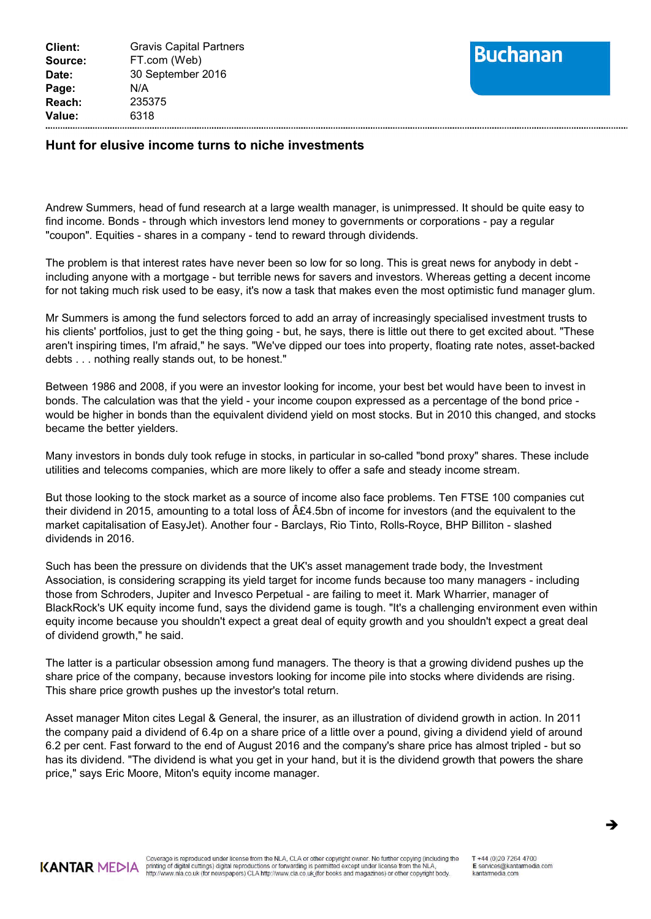

## **Hunt for elusive income turns to niche investments**

Andrew Summers, head of fund research at a large wealth manager, is unimpressed. It should be quite easy to find income. Bonds - through which investors lend money to governments or corporations - pay a regular "coupon". Equities - shares in a company - tend to reward through dividends.

The problem is that interest rates have never been so low for so long. This is great news for anybody in debt including anyone with a mortgage - but terrible news for savers and investors. Whereas getting a decent income for not taking much risk used to be easy, it's now a task that makes even the most optimistic fund manager glum.

Mr Summers is among the fund selectors forced to add an array of increasingly specialised investment trusts to his clients' portfolios, just to get the thing going - but, he says, there is little out there to get excited about. "These aren't inspiring times, I'm afraid," he says. "We've dipped our toes into property, floating rate notes, asset-backed debts . . . nothing really stands out, to be honest."

Between 1986 and 2008, if you were an investor looking for income, your best bet would have been to invest in bonds. The calculation was that the yield - your income coupon expressed as a percentage of the bond price would be higher in bonds than the equivalent dividend yield on most stocks. But in 2010 this changed, and stocks became the better yielders.

Many investors in bonds duly took refuge in stocks, in particular in so-called "bond proxy" shares. These include utilities and telecoms companies, which are more likely to offer a safe and steady income stream.

But those looking to the stock market as a source of income also face problems. Ten FTSE 100 companies cut their dividend in 2015, amounting to a total loss of £4.5bn of income for investors (and the equivalent to the market capitalisation of EasyJet). Another four - Barclays, Rio Tinto, Rolls-Royce, BHP Billiton - slashed dividends in 2016.

Such has been the pressure on dividends that the UK's asset management trade body, the Investment Association, is considering scrapping its yield target for income funds because too many managers - including those from Schroders, Jupiter and Invesco Perpetual - are failing to meet it. Mark Wharrier, manager of BlackRock's UK equity income fund, says the dividend game is tough. "It's a challenging environment even within equity income because you shouldn't expect a great deal of equity growth and you shouldn't expect a great deal of dividend growth," he said.

The latter is a particular obsession among fund managers. The theory is that a growing dividend pushes up the share price of the company, because investors looking for income pile into stocks where dividends are rising. This share price growth pushes up the investor's total return.

Asset manager Miton cites Legal & General, the insurer, as an illustration of dividend growth in action. In 2011 the company paid a dividend of 6.4p on a share price of a little over a pound, giving a dividend yield of around 6.2 per cent. Fast forward to the end of August 2016 and the company's share price has almost tripled - but so has its dividend. "The dividend is what you get in your hand, but it is the dividend growth that powers the share price," says Eric Moore, Miton's equity income manager.



è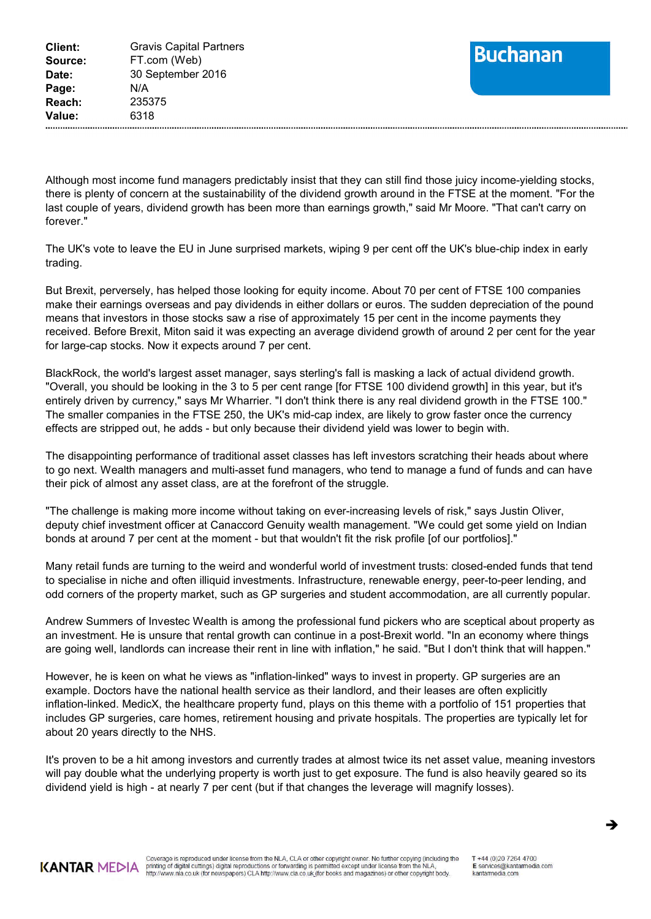## **Buchanan**

Although most income fund managers predictably insist that they can still find those juicy income-yielding stocks, there is plenty of concern at the sustainability of the dividend growth around in the FTSE at the moment. "For the last couple of years, dividend growth has been more than earnings growth," said Mr Moore. "That can't carry on forever."

The UK's vote to leave the EU in June surprised markets, wiping 9 per cent off the UK's blue-chip index in early trading.

But Brexit, perversely, has helped those looking for equity income. About 70 per cent of FTSE 100 companies make their earnings overseas and pay dividends in either dollars or euros. The sudden depreciation of the pound means that investors in those stocks saw a rise of approximately 15 per cent in the income payments they received. Before Brexit, Miton said it was expecting an average dividend growth of around 2 per cent for the year for large-cap stocks. Now it expects around 7 per cent.

BlackRock, the world's largest asset manager, says sterling's fall is masking a lack of actual dividend growth. "Overall, you should be looking in the 3 to 5 per cent range [for FTSE 100 dividend growth] in this year, but it's entirely driven by currency," says Mr Wharrier. "I don't think there is any real dividend growth in the FTSE 100." The smaller companies in the FTSE 250, the UK's mid-cap index, are likely to grow faster once the currency effects are stripped out, he adds - but only because their dividend yield was lower to begin with.

The disappointing performance of traditional asset classes has left investors scratching their heads about where to go next. Wealth managers and multi-asset fund managers, who tend to manage a fund of funds and can have their pick of almost any asset class, are at the forefront of the struggle.

"The challenge is making more income without taking on ever-increasing levels of risk," says Justin Oliver, deputy chief investment officer at Canaccord Genuity wealth management. "We could get some yield on Indian bonds at around 7 per cent at the moment - but that wouldn't fit the risk profile [of our portfolios]."

Many retail funds are turning to the weird and wonderful world of investment trusts: closed-ended funds that tend to specialise in niche and often illiquid investments. Infrastructure, renewable energy, peer-to-peer lending, and odd corners of the property market, such as GP surgeries and student accommodation, are all currently popular.

Andrew Summers of Investec Wealth is among the professional fund pickers who are sceptical about property as an investment. He is unsure that rental growth can continue in a post-Brexit world. "In an economy where things are going well, landlords can increase their rent in line with inflation," he said. "But I don't think that will happen."

However, he is keen on what he views as "inflation-linked" ways to invest in property. GP surgeries are an example. Doctors have the national health service as their landlord, and their leases are often explicitly inflation-linked. MedicX, the healthcare property fund, plays on this theme with a portfolio of 151 properties that includes GP surgeries, care homes, retirement housing and private hospitals. The properties are typically let for about 20 years directly to the NHS.

It's proven to be a hit among investors and currently trades at almost twice its net asset value, meaning investors will pay double what the underlying property is worth just to get exposure. The fund is also heavily geared so its dividend yield is high - at nearly 7 per cent (but if that changes the leverage will magnify losses).



Coverage is reproduced under license from the NLA, CLA or other copyright owner. No further copying (including the printing of digital cuttings) digital reproductions or forwarding is permitted except under license from the NLA,<br>http://www.nla.co.uk (for newspapers) CLA http://www.cla.co.uk (for books and magazines) or other copyright

è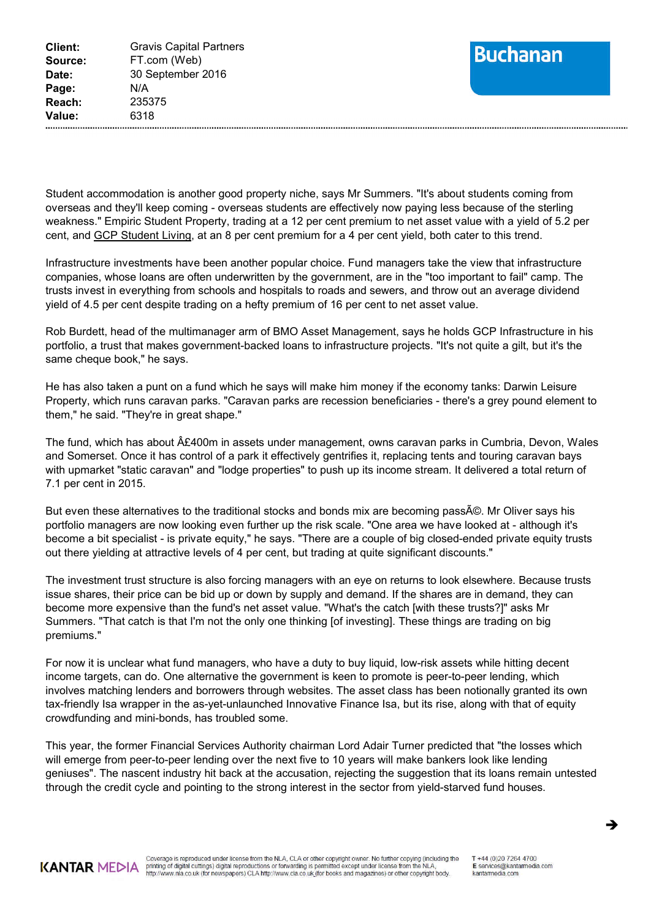

Student accommodation is another good property niche, says Mr Summers. "It's about students coming from overseas and they'll keep coming - overseas students are effectively now paying less because of the sterling weakness." Empiric Student Property, trading at a 12 per cent premium to net asset value with a yield of 5.2 per cent, and GCP Student Living, at an 8 per cent premium for a 4 per cent yield, both cater to this trend.

Infrastructure investments have been another popular choice. Fund managers take the view that infrastructure companies, whose loans are often underwritten by the government, are in the "too important to fail" camp. The trusts invest in everything from schools and hospitals to roads and sewers, and throw out an average dividend yield of 4.5 per cent despite trading on a hefty premium of 16 per cent to net asset value.

Rob Burdett, head of the multimanager arm of BMO Asset Management, says he holds GCP Infrastructure in his portfolio, a trust that makes government-backed loans to infrastructure projects. "It's not quite a gilt, but it's the same cheque book," he says.

He has also taken a punt on a fund which he says will make him money if the economy tanks: Darwin Leisure Property, which runs caravan parks. "Caravan parks are recession beneficiaries - there's a grey pound element to them," he said. "They're in great shape."

The fund, which has about  $\hat{A}E400m$  in assets under management, owns caravan parks in Cumbria, Devon, Wales and Somerset. Once it has control of a park it effectively gentrifies it, replacing tents and touring caravan bays with upmarket "static caravan" and "lodge properties" to push up its income stream. It delivered a total return of 7.1 per cent in 2015.

But even these alternatives to the traditional stocks and bonds mix are becoming pass©. Mr Oliver says his portfolio managers are now looking even further up the risk scale. "One area we have looked at - although it's become a bit specialist - is private equity," he says. "There are a couple of big closed-ended private equity trusts out there yielding at attractive levels of 4 per cent, but trading at quite significant discounts."

The investment trust structure is also forcing managers with an eye on returns to look elsewhere. Because trusts issue shares, their price can be bid up or down by supply and demand. If the shares are in demand, they can become more expensive than the fund's net asset value. "What's the catch [with these trusts?]" asks Mr Summers. "That catch is that I'm not the only one thinking [of investing]. These things are trading on big premiums."

For now it is unclear what fund managers, who have a duty to buy liquid, low-risk assets while hitting decent income targets, can do. One alternative the government is keen to promote is peer-to-peer lending, which involves matching lenders and borrowers through websites. The asset class has been notionally granted its own tax-friendly Isa wrapper in the as-yet-unlaunched Innovative Finance Isa, but its rise, along with that of equity crowdfunding and mini-bonds, has troubled some.

This year, the former Financial Services Authority chairman Lord Adair Turner predicted that "the losses which will emerge from peer-to-peer lending over the next five to 10 years will make bankers look like lending geniuses". The nascent industry hit back at the accusation, rejecting the suggestion that its loans remain untested through the credit cycle and pointing to the strong interest in the sector from yield-starved fund houses.



Coverage is reproduced under license from the NLA, CLA or other copyright owner. No further copying (including the printing of digital cuttings) digital reproductions or forwarding is permitted except under license from the NLA,<br>http://www.nla.co.uk (for newspapers) CLA http://www.cla.co.uk (for books and magazines) or other copyright

T +44 (0) 20 7 264 4700 E services@kantarmedia.com kantarmedia.com

è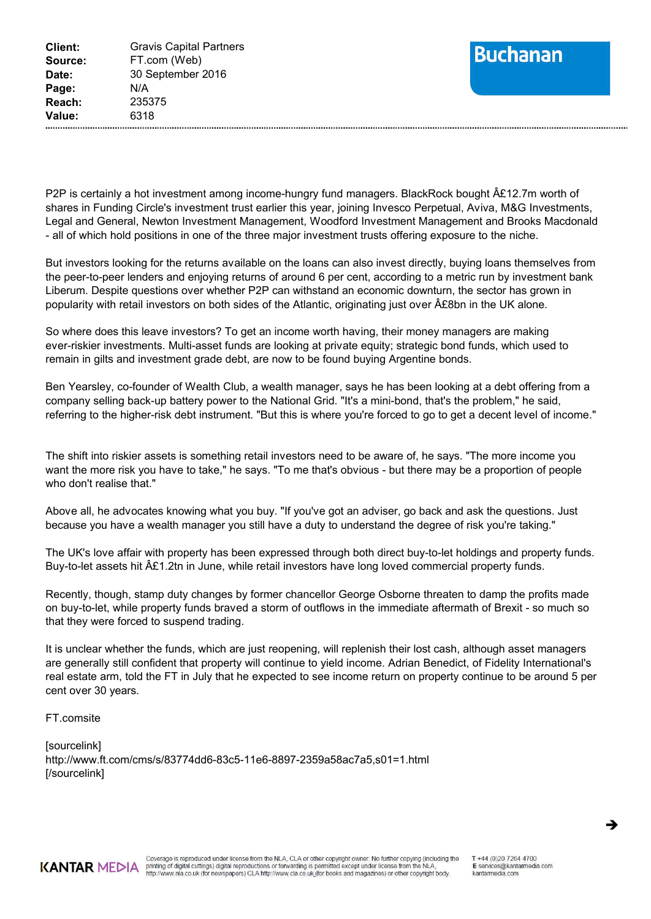

P2P is certainly a hot investment among income-hungry fund managers. BlackRock bought  $\hat{A}$ £12.7m worth of shares in Funding Circle's investment trust earlier this year, joining Invesco Perpetual, Aviva, M&G Investments, Legal and General, Newton Investment Management, Woodford Investment Management and Brooks Macdonald - all of which hold positions in one of the three major investment trusts offering exposure to the niche.

But investors looking for the returns available on the loans can also invest directly, buying loans themselves from the peer-to-peer lenders and enjoying returns of around 6 per cent, according to a metric run by investment bank Liberum. Despite questions over whether P2P can withstand an economic downturn, the sector has grown in popularity with retail investors on both sides of the Atlantic, originating just over  $\hat{A}E8$ bn in the UK alone.

So where does this leave investors? To get an income worth having, their money managers are making ever-riskier investments. Multi-asset funds are looking at private equity; strategic bond funds, which used to remain in gilts and investment grade debt, are now to be found buying Argentine bonds.

Ben Yearsley, co-founder of Wealth Club, a wealth manager, says he has been looking at a debt offering from a company selling back-up battery power to the National Grid. "It's a mini-bond, that's the problem," he said, referring to the higher-risk debt instrument. "But this is where you're forced to go to get a decent level of income."

The shift into riskier assets is something retail investors need to be aware of, he says. "The more income you want the more risk you have to take," he says. "To me that's obvious - but there may be a proportion of people who don't realise that."

Above all, he advocates knowing what you buy. "If you've got an adviser, go back and ask the questions. Just because you have a wealth manager you still have a duty to understand the degree of risk you're taking."

The UK's love affair with property has been expressed through both direct buy-to-let holdings and property funds. Buy-to-let assets hit  $\hat{A}E1.2$ tn in June, while retail investors have long loved commercial property funds.

Recently, though, stamp duty changes by former chancellor George Osborne threaten to damp the profits made on buy-to-let, while property funds braved a storm of outflows in the immediate aftermath of Brexit - so much so that they were forced to suspend trading.

It is unclear whether the funds, which are just reopening, will replenish their lost cash, although asset managers are generally still confident that property will continue to yield income. Adrian Benedict, of Fidelity International's real estate arm, told the FT in July that he expected to see income return on property continue to be around 5 per cent over 30 years.

FT.comsite

[sourcelink] [http://w](http://www.ft.com/cms/s/83774dd6-83c5-11e6-8897-2359a58ac7a5,s01=1.html)[ww.ft.com/cms/s/83774dd6-83c5-11e6-8897-2359a58ac7a5,s01=1.htm](www.ft.com/cms/s/83774dd6-83c5-11e6-8897-2359a58ac7a5,s01=1.html)[l](http://www.ft.com/cms/s/83774dd6-83c5-11e6-8897-2359a58ac7a5,s01=1.html) [/sourcelink]



 $\rightarrow$